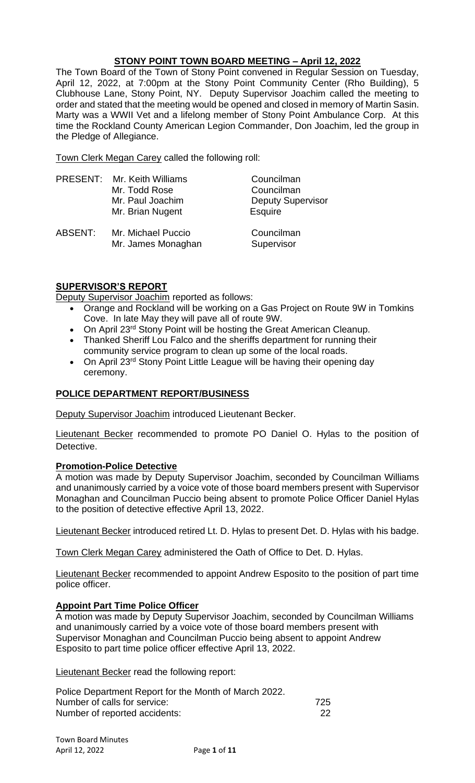# **STONY POINT TOWN BOARD MEETING – April 12, 2022**

The Town Board of the Town of Stony Point convened in Regular Session on Tuesday, April 12, 2022, at 7:00pm at the Stony Point Community Center (Rho Building), 5 Clubhouse Lane, Stony Point, NY. Deputy Supervisor Joachim called the meeting to order and stated that the meeting would be opened and closed in memory of Martin Sasin. Marty was a WWII Vet and a lifelong member of Stony Point Ambulance Corp. At this time the Rockland County American Legion Commander, Don Joachim, led the group in the Pledge of Allegiance.

Town Clerk Megan Carey called the following roll:

|         | <b>PRESENT: Mr. Keith Williams</b><br>Mr. Todd Rose<br>Mr. Paul Joachim<br>Mr. Brian Nugent | Councilman<br>Councilman<br><b>Deputy Supervisor</b><br>Esquire |
|---------|---------------------------------------------------------------------------------------------|-----------------------------------------------------------------|
| ABSENT: | Mr. Michael Puccio<br>Mr. James Monaghan                                                    | Councilman<br>Supervisor                                        |

## **SUPERVISOR'S REPORT**

Deputy Supervisor Joachim reported as follows:

- Orange and Rockland will be working on a Gas Project on Route 9W in Tomkins Cove. In late May they will pave all of route 9W.
- On April 23<sup>rd</sup> Stony Point will be hosting the Great American Cleanup.
- Thanked Sheriff Lou Falco and the sheriffs department for running their community service program to clean up some of the local roads.
- On April 23<sup>rd</sup> Stony Point Little League will be having their opening day ceremony.

## **POLICE DEPARTMENT REPORT/BUSINESS**

Deputy Supervisor Joachim introduced Lieutenant Becker.

Lieutenant Becker recommended to promote PO Daniel O. Hylas to the position of Detective.

### **Promotion-Police Detective**

A motion was made by Deputy Supervisor Joachim, seconded by Councilman Williams and unanimously carried by a voice vote of those board members present with Supervisor Monaghan and Councilman Puccio being absent to promote Police Officer Daniel Hylas to the position of detective effective April 13, 2022.

Lieutenant Becker introduced retired Lt. D. Hylas to present Det. D. Hylas with his badge.

Town Clerk Megan Carey administered the Oath of Office to Det. D. Hylas.

Lieutenant Becker recommended to appoint Andrew Esposito to the position of part time police officer.

## **Appoint Part Time Police Officer**

A motion was made by Deputy Supervisor Joachim, seconded by Councilman Williams and unanimously carried by a voice vote of those board members present with Supervisor Monaghan and Councilman Puccio being absent to appoint Andrew Esposito to part time police officer effective April 13, 2022.

Lieutenant Becker read the following report:

| Police Department Report for the Month of March 2022. |     |
|-------------------------------------------------------|-----|
| Number of calls for service:                          | 725 |
| Number of reported accidents:                         | 22  |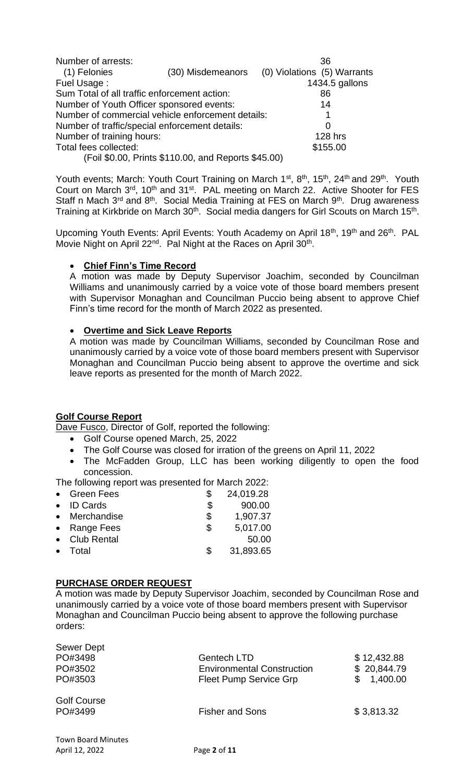| Number of arrests:                                |                                                     | 36                          |
|---------------------------------------------------|-----------------------------------------------------|-----------------------------|
| (1) Felonies                                      | (30) Misdemeanors                                   | (0) Violations (5) Warrants |
| Fuel Usage:                                       |                                                     | 1434.5 gallons              |
| Sum Total of all traffic enforcement action:      |                                                     | 86                          |
| Number of Youth Officer sponsored events:         |                                                     | 14                          |
| Number of commercial vehicle enforcement details: |                                                     |                             |
| Number of traffic/special enforcement details:    |                                                     | 0                           |
| Number of training hours:                         |                                                     | <b>128 hrs</b>              |
| Total fees collected:                             |                                                     | \$155.00                    |
|                                                   | (Foil \$0.00, Prints \$110.00, and Reports \$45.00) |                             |

Youth events; March: Youth Court Training on March 1<sup>st</sup>, 8<sup>th</sup>, 15<sup>th</sup>, 24<sup>th</sup> and 29<sup>th</sup>. Youth Court on March 3<sup>rd</sup>, 10<sup>th</sup> and 31<sup>st</sup>. PAL meeting on March 22. Active Shooter for FES Staff n Mach  $3^{rd}$  and  $8^{th}$ . Social Media Training at FES on March  $9^{th}$ . Drug awareness Training at Kirkbride on March 30<sup>th</sup>. Social media dangers for Girl Scouts on March 15<sup>th</sup>.

Upcoming Youth Events: April Events: Youth Academy on April 18<sup>th</sup>, 19<sup>th</sup> and 26<sup>th</sup>. PAL Movie Night on April 22<sup>nd</sup>. Pal Night at the Races on April 30<sup>th</sup>.

## • **Chief Finn's Time Record**

A motion was made by Deputy Supervisor Joachim, seconded by Councilman Williams and unanimously carried by a voice vote of those board members present with Supervisor Monaghan and Councilman Puccio being absent to approve Chief Finn's time record for the month of March 2022 as presented.

## • **Overtime and Sick Leave Reports**

A motion was made by Councilman Williams, seconded by Councilman Rose and unanimously carried by a voice vote of those board members present with Supervisor Monaghan and Councilman Puccio being absent to approve the overtime and sick leave reports as presented for the month of March 2022.

## **Golf Course Report**

Dave Fusco, Director of Golf, reported the following:

- Golf Course opened March, 25, 2022
	- The Golf Course was closed for irration of the greens on April 11, 2022
- The McFadden Group, LLC has been working diligently to open the food concession.

The following report was presented for March 2022:

| • Green Fees       | 24,019.28       |
|--------------------|-----------------|
| $\bullet$ ID Cards | \$<br>900.00    |
| • Merchandise      | \$<br>1,907.37  |
| • Range Fees       | \$<br>5,017.00  |
| • Club Rental      | 50.00           |
| Total              | \$<br>31,893.65 |
|                    |                 |

## **PURCHASE ORDER REQUEST**

A motion was made by Deputy Supervisor Joachim, seconded by Councilman Rose and unanimously carried by a voice vote of those board members present with Supervisor Monaghan and Councilman Puccio being absent to approve the following purchase orders:

| <b>Sewer Dept</b>         |                                   |                |
|---------------------------|-----------------------------------|----------------|
| PO#3498                   | <b>Gentech LTD</b>                | \$12,432.88    |
| PO#3502                   | <b>Environmental Construction</b> | \$20,844.79    |
| PO#3503                   | <b>Fleet Pump Service Grp</b>     | 1,400.00<br>\$ |
| <b>Golf Course</b>        |                                   |                |
| PO#3499                   | <b>Fisher and Sons</b>            | \$3,813.32     |
|                           |                                   |                |
| <b>Town Board Minutes</b> |                                   |                |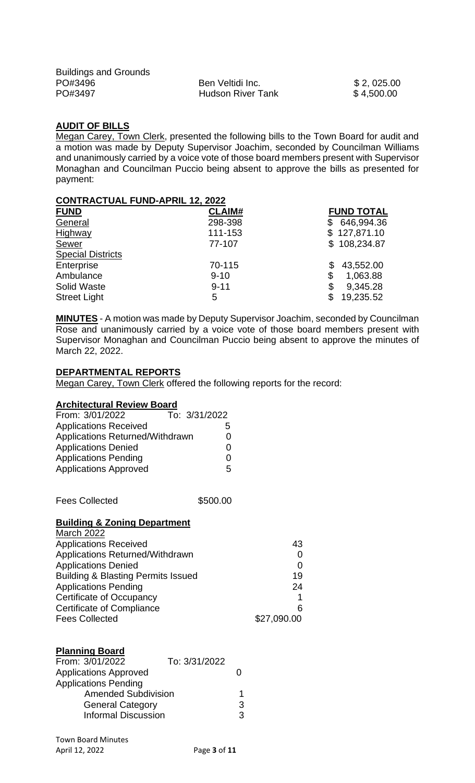| <b>Buildings and Grounds</b> |                          |            |
|------------------------------|--------------------------|------------|
| PO#3496                      | Ben Veltidi Inc.         | \$2,025.00 |
| PO#3497                      | <b>Hudson River Tank</b> | \$4,500.00 |

### **AUDIT OF BILLS**

Megan Carey, Town Clerk, presented the following bills to the Town Board for audit and a motion was made by Deputy Supervisor Joachim, seconded by Councilman Williams and unanimously carried by a voice vote of those board members present with Supervisor Monaghan and Councilman Puccio being absent to approve the bills as presented for payment:

### **CONTRACTUAL FUND-APRIL 12, 2022**

| <b>FUND</b>              | <b>CLAIM#</b> | <b>FUND TOTAL</b> |
|--------------------------|---------------|-------------------|
| General                  | 298-398       | 646,994.36<br>\$  |
| Highway                  | 111-153       | \$127,871.10      |
| Sewer                    | 77-107        | \$108,234.87      |
| <b>Special Districts</b> |               |                   |
| Enterprise               | 70-115        | 43,552.00<br>\$   |
| Ambulance                | $9 - 10$      | 1,063.88<br>\$    |
| <b>Solid Waste</b>       | $9 - 11$      | 9,345.28<br>\$    |
| <b>Street Light</b>      | 5             | 19,235.52<br>\$   |

**MINUTES** - A motion was made by Deputy Supervisor Joachim, seconded by Councilman Rose and unanimously carried by a voice vote of those board members present with Supervisor Monaghan and Councilman Puccio being absent to approve the minutes of March 22, 2022.

### **DEPARTMENTAL REPORTS**

Megan Carey, Town Clerk offered the following reports for the record:

### **Architectural Review Board**

| From: 3/01/2022                 | To: 3/31/2022 |    |
|---------------------------------|---------------|----|
| <b>Applications Received</b>    |               | h. |
| Applications Returned/Withdrawn |               | 0  |
| <b>Applications Denied</b>      |               | 0  |
| <b>Applications Pending</b>     |               | O  |
| <b>Applications Approved</b>    |               | 5  |
|                                 |               |    |

Fees Collected **\$500.00** 

### **Building & Zoning Department**

| <b>March 2022</b>                             |             |
|-----------------------------------------------|-------------|
| <b>Applications Received</b>                  | 43          |
| Applications Returned/Withdrawn               |             |
| <b>Applications Denied</b>                    | 0           |
| <b>Building &amp; Blasting Permits Issued</b> | 19          |
| <b>Applications Pending</b>                   | 24          |
| <b>Certificate of Occupancy</b>               |             |
| <b>Certificate of Compliance</b>              | 6           |
| <b>Fees Collected</b>                         | \$27,090.00 |

## **Planning Board**

| From: 3/01/2022              | To: 3/31/2022 |   |
|------------------------------|---------------|---|
| <b>Applications Approved</b> |               |   |
| <b>Applications Pending</b>  |               |   |
| <b>Amended Subdivision</b>   |               |   |
| <b>General Category</b>      |               | 3 |
| <b>Informal Discussion</b>   |               | ર |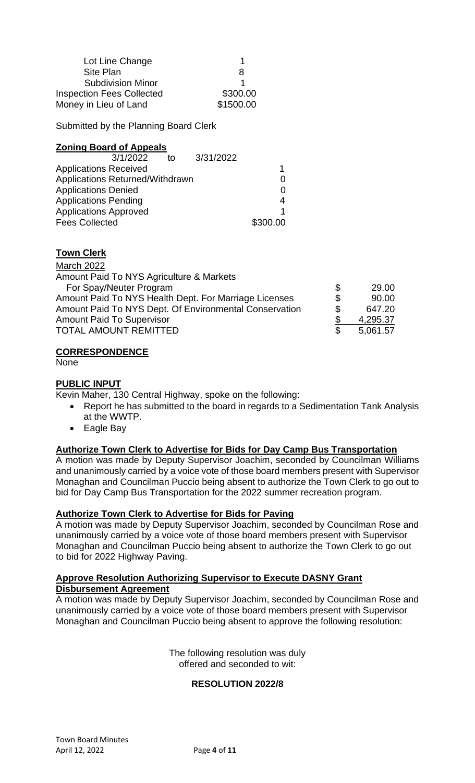| 1         |
|-----------|
| 8         |
|           |
| \$300.00  |
| \$1500.00 |
|           |

Submitted by the Planning Board Clerk

### **Zoning Board of Appeals**

| 3/1/2022                        | to | 3/31/2022 |          |
|---------------------------------|----|-----------|----------|
| <b>Applications Received</b>    |    |           |          |
| Applications Returned/Withdrawn |    |           | O        |
| <b>Applications Denied</b>      |    |           | 0        |
| <b>Applications Pending</b>     |    |           |          |
| <b>Applications Approved</b>    |    |           |          |
| <b>Fees Collected</b>           |    |           | \$300.00 |

### **Town Clerk**

| <b>March 2022</b>                                      |                |
|--------------------------------------------------------|----------------|
| Amount Paid To NYS Agriculture & Markets               |                |
| For Spay/Neuter Program                                | \$<br>29.00    |
| Amount Paid To NYS Health Dept. For Marriage Licenses  | \$<br>90.00    |
| Amount Paid To NYS Dept. Of Environmental Conservation | \$<br>647.20   |
| <b>Amount Paid To Supervisor</b>                       | 4,295.37       |
| <b>TOTAL AMOUNT REMITTED</b>                           | \$<br>5,061.57 |

### **CORRESPONDENCE**

None

### **PUBLIC INPUT**

Kevin Maher, 130 Central Highway, spoke on the following:

- Report he has submitted to the board in regards to a Sedimentation Tank Analysis at the WWTP.
- Eagle Bay

### **Authorize Town Clerk to Advertise for Bids for Day Camp Bus Transportation**

A motion was made by Deputy Supervisor Joachim, seconded by Councilman Williams and unanimously carried by a voice vote of those board members present with Supervisor Monaghan and Councilman Puccio being absent to authorize the Town Clerk to go out to bid for Day Camp Bus Transportation for the 2022 summer recreation program.

### **Authorize Town Clerk to Advertise for Bids for Paving**

A motion was made by Deputy Supervisor Joachim, seconded by Councilman Rose and unanimously carried by a voice vote of those board members present with Supervisor Monaghan and Councilman Puccio being absent to authorize the Town Clerk to go out to bid for 2022 Highway Paving.

## **Approve Resolution Authorizing Supervisor to Execute DASNY Grant Disbursement Agreement**

A motion was made by Deputy Supervisor Joachim, seconded by Councilman Rose and unanimously carried by a voice vote of those board members present with Supervisor Monaghan and Councilman Puccio being absent to approve the following resolution:

> The following resolution was duly offered and seconded to wit:

## **RESOLUTION 2022/8**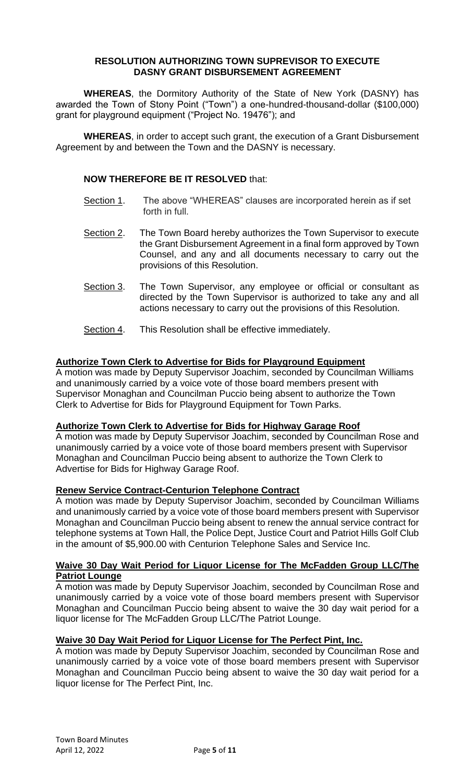### **RESOLUTION AUTHORIZING TOWN SUPREVISOR TO EXECUTE DASNY GRANT DISBURSEMENT AGREEMENT**

**WHEREAS**, the Dormitory Authority of the State of New York (DASNY) has awarded the Town of Stony Point ("Town") a one-hundred-thousand-dollar (\$100,000) grant for playground equipment ("Project No. 19476"); and

**WHEREAS**, in order to accept such grant, the execution of a Grant Disbursement Agreement by and between the Town and the DASNY is necessary.

### **NOW THEREFORE BE IT RESOLVED** that:

- Section 1. The above "WHEREAS" clauses are incorporated herein as if set forth in full.
- Section 2. The Town Board hereby authorizes the Town Supervisor to execute the Grant Disbursement Agreement in a final form approved by Town Counsel, and any and all documents necessary to carry out the provisions of this Resolution.
- Section 3. The Town Supervisor, any employee or official or consultant as directed by the Town Supervisor is authorized to take any and all actions necessary to carry out the provisions of this Resolution.
- Section 4. This Resolution shall be effective immediately.

## **Authorize Town Clerk to Advertise for Bids for Playground Equipment**

A motion was made by Deputy Supervisor Joachim, seconded by Councilman Williams and unanimously carried by a voice vote of those board members present with Supervisor Monaghan and Councilman Puccio being absent to authorize the Town Clerk to Advertise for Bids for Playground Equipment for Town Parks.

### **Authorize Town Clerk to Advertise for Bids for Highway Garage Roof**

A motion was made by Deputy Supervisor Joachim, seconded by Councilman Rose and unanimously carried by a voice vote of those board members present with Supervisor Monaghan and Councilman Puccio being absent to authorize the Town Clerk to Advertise for Bids for Highway Garage Roof.

### **Renew Service Contract-Centurion Telephone Contract**

A motion was made by Deputy Supervisor Joachim, seconded by Councilman Williams and unanimously carried by a voice vote of those board members present with Supervisor Monaghan and Councilman Puccio being absent to renew the annual service contract for telephone systems at Town Hall, the Police Dept, Justice Court and Patriot Hills Golf Club in the amount of \$5,900.00 with Centurion Telephone Sales and Service Inc.

### **Waive 30 Day Wait Period for Liquor License for The McFadden Group LLC/The Patriot Lounge**

A motion was made by Deputy Supervisor Joachim, seconded by Councilman Rose and unanimously carried by a voice vote of those board members present with Supervisor Monaghan and Councilman Puccio being absent to waive the 30 day wait period for a liquor license for The McFadden Group LLC/The Patriot Lounge.

### **Waive 30 Day Wait Period for Liquor License for The Perfect Pint, Inc.**

A motion was made by Deputy Supervisor Joachim, seconded by Councilman Rose and unanimously carried by a voice vote of those board members present with Supervisor Monaghan and Councilman Puccio being absent to waive the 30 day wait period for a liquor license for The Perfect Pint, Inc.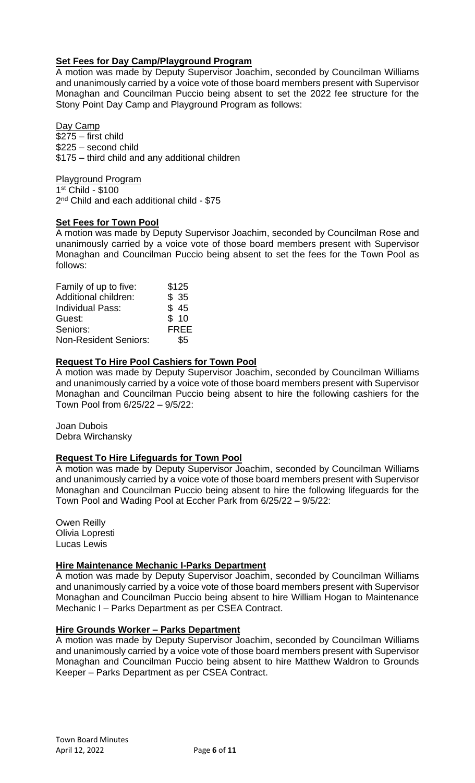## **Set Fees for Day Camp/Playground Program**

A motion was made by Deputy Supervisor Joachim, seconded by Councilman Williams and unanimously carried by a voice vote of those board members present with Supervisor Monaghan and Councilman Puccio being absent to set the 2022 fee structure for the Stony Point Day Camp and Playground Program as follows:

Day Camp \$275 – first child \$225 – second child \$175 – third child and any additional children

Playground Program 1 st Child - \$100 2<sup>nd</sup> Child and each additional child - \$75

### **Set Fees for Town Pool**

A motion was made by Deputy Supervisor Joachim, seconded by Councilman Rose and unanimously carried by a voice vote of those board members present with Supervisor Monaghan and Councilman Puccio being absent to set the fees for the Town Pool as follows:

| Family of up to five:        | \$125       |
|------------------------------|-------------|
| Additional children:         | \$35        |
| <b>Individual Pass:</b>      | \$45        |
| Guest:                       | \$10        |
| Seniors:                     | <b>FREE</b> |
| <b>Non-Resident Seniors:</b> | \$5         |

## **Request To Hire Pool Cashiers for Town Pool**

A motion was made by Deputy Supervisor Joachim, seconded by Councilman Williams and unanimously carried by a voice vote of those board members present with Supervisor Monaghan and Councilman Puccio being absent to hire the following cashiers for the Town Pool from 6/25/22 – 9/5/22:

Joan Dubois Debra Wirchansky

### **Request To Hire Lifeguards for Town Pool**

A motion was made by Deputy Supervisor Joachim, seconded by Councilman Williams and unanimously carried by a voice vote of those board members present with Supervisor Monaghan and Councilman Puccio being absent to hire the following lifeguards for the Town Pool and Wading Pool at Eccher Park from 6/25/22 – 9/5/22:

Owen Reilly Olivia Lopresti Lucas Lewis

### **Hire Maintenance Mechanic I-Parks Department**

A motion was made by Deputy Supervisor Joachim, seconded by Councilman Williams and unanimously carried by a voice vote of those board members present with Supervisor Monaghan and Councilman Puccio being absent to hire William Hogan to Maintenance Mechanic I – Parks Department as per CSEA Contract.

### **Hire Grounds Worker – Parks Department**

A motion was made by Deputy Supervisor Joachim, seconded by Councilman Williams and unanimously carried by a voice vote of those board members present with Supervisor Monaghan and Councilman Puccio being absent to hire Matthew Waldron to Grounds Keeper – Parks Department as per CSEA Contract.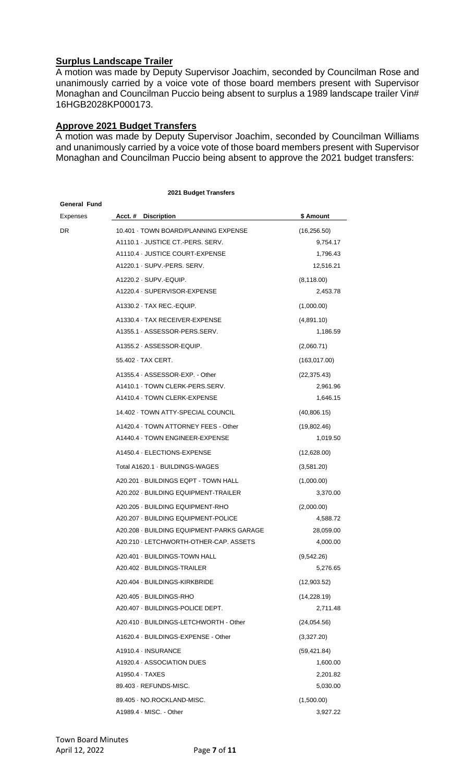## **Surplus Landscape Trailer**

A motion was made by Deputy Supervisor Joachim, seconded by Councilman Rose and unanimously carried by a voice vote of those board members present with Supervisor Monaghan and Councilman Puccio being absent to surplus a 1989 landscape trailer Vin# 16HGB2028KP000173.

## **Approve 2021 Budget Transfers**

A motion was made by Deputy Supervisor Joachim, seconded by Councilman Williams and unanimously carried by a voice vote of those board members present with Supervisor Monaghan and Councilman Puccio being absent to approve the 2021 budget transfers:

**2021 Budget Transfers**

| General Fund |                                                                |                       |
|--------------|----------------------------------------------------------------|-----------------------|
| Expenses     | Acct. # Discription                                            | \$ Amount             |
| DR           | 10.401 · TOWN BOARD/PLANNING EXPENSE                           | (16, 256.50)          |
|              | A1110.1 JUSTICE CT. PERS. SERV.                                | 9,754.17              |
|              | A1110.4 · JUSTICE COURT-EXPENSE<br>A1220.1 · SUPV.-PERS. SERV. | 1,796.43<br>12,516.21 |
|              |                                                                |                       |
|              | A1220.2 SUPV. EQUIP.                                           | (8, 118.00)           |
|              | A1220.4 · SUPERVISOR-EXPENSE                                   | 2,453.78              |
|              | A1330.2 · TAX REC.-EQUIP.                                      | (1,000.00)            |
|              | A1330.4 · TAX RECEIVER-EXPENSE                                 | (4,891.10)            |
|              | A1355.1 ASSESSOR-PERS.SERV.                                    | 1,186.59              |
|              | A1355.2 ASSESSOR-EQUIP.                                        | (2,060.71)            |
|              | 55.402 · TAX CERT.                                             | (163, 017.00)         |
|              | A1355.4 ASSESSOR-EXP. - Other                                  | (22, 375.43)          |
|              | A1410.1 · TOWN CLERK-PERS.SERV.                                | 2,961.96              |
|              | A1410.4 TOWN CLERK-EXPENSE                                     | 1,646.15              |
|              | 14.402 - TOWN ATTY-SPECIAL COUNCIL                             | (40,806.15)           |
|              | A1420.4 TOWN ATTORNEY FEES - Other                             | (19,802.46)           |
|              | A1440.4 · TOWN ENGINEER-EXPENSE                                | 1,019.50              |
|              | A1450.4 · ELECTIONS-EXPENSE                                    | (12,628.00)           |
|              | Total A1620.1 BUILDINGS-WAGES                                  | (3,581.20)            |
|              | A20.201 - BUILDINGS EQPT - TOWN HALL                           | (1,000.00)            |
|              | A20.202 - BUILDING EQUIPMENT-TRAILER                           | 3,370.00              |
|              | A20.205 - BUILDING EQUIPMENT-RHO                               | (2,000.00)            |
|              | A20.207 - BUILDING EQUIPMENT-POLICE                            | 4,588.72              |
|              | A20.208 - BUILDING EQUIPMENT-PARKS GARAGE                      | 28,059.00             |
|              | A20.210 · LETCHWORTH-OTHER-CAP. ASSETS                         | 4,000.00              |
|              | A20.401 · BUILDINGS-TOWN HALL                                  | (9,542.26)            |
|              | A20.402 - BUILDINGS-TRAILER                                    | 5,276.65              |
|              | A20.404 · BUILDINGS-KIRKBRIDE                                  | (12,903.52)           |
|              | A20.405 - BUILDINGS-RHO                                        | (14, 228.19)          |
|              | A20.407 · BUILDINGS-POLICE DEPT.                               | 2,711.48              |
|              | A20.410 - BUILDINGS-LETCHWORTH - Other                         | (24,054.56)           |
|              | A1620.4 · BUILDINGS-EXPENSE - Other                            | (3,327.20)            |
|              | A1910.4 · INSURANCE                                            | (59, 421.84)          |
|              | A1920.4 ASSOCIATION DUES                                       | 1,600.00              |
|              | A1950.4 TAXES                                                  | 2,201.82              |
|              | 89.403 · REFUNDS-MISC.                                         | 5,030.00              |
|              | 89.405 · NO.ROCKLAND-MISC.                                     | (1,500.00)            |
|              | A1989.4 MISC. - Other                                          | 3,927.22              |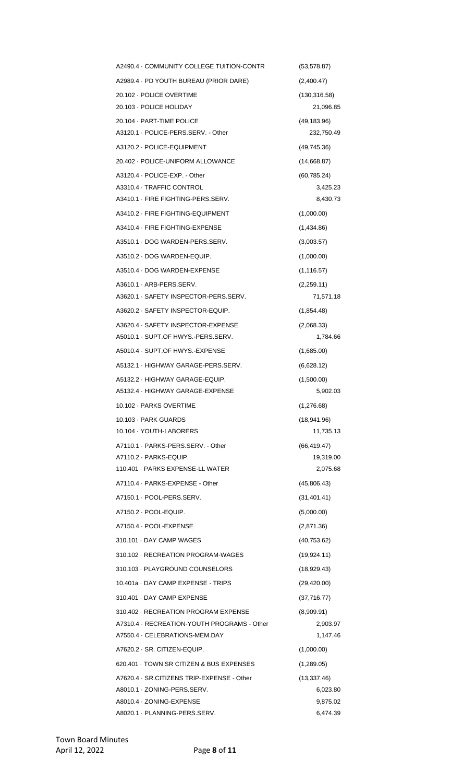| A2490.4 GOMMUNITY COLLEGE TUITION-CONTR                                | (53, 578.87)           |
|------------------------------------------------------------------------|------------------------|
| A2989.4 · PD YOUTH BUREAU (PRIOR DARE)                                 | (2,400.47)             |
| 20.102 - POLICE OVERTIME                                               | (130, 316.58)          |
| 20.103 · POLICE HOLIDAY                                                | 21,096.85              |
| 20.104 · PART-TIME POLICE                                              | (49, 183.96)           |
| A3120.1 · POLICE-PERS.SERV. - Other                                    | 232,750.49             |
| A3120.2 · POLICE-EQUIPMENT                                             | (49, 745.36)           |
| 20.402 - POLICE-UNIFORM ALLOWANCE                                      | (14,668.87)            |
| A3120.4 · POLICE-EXP. - Other                                          | (60, 785.24)           |
| A3310.4 · TRAFFIC CONTROL                                              | 3,425.23               |
| A3410.1 FIRE FIGHTING-PERS.SERV.                                       | 8,430.73               |
| A3410.2 · FIRE FIGHTING-EQUIPMENT                                      | (1,000.00)             |
| A3410.4 · FIRE FIGHTING-EXPENSE                                        | (1,434.86)             |
| A3510.1 DOG WARDEN-PERS.SERV.                                          | (3,003.57)             |
| A3510.2 DOG WARDEN-EQUIP.                                              | (1,000.00)             |
| A3510.4 DOG WARDEN-EXPENSE                                             | (1, 116.57)            |
| A3610.1 · ARB-PERS.SERV.                                               | (2,259.11)             |
| A3620.1 SAFETY INSPECTOR-PERS.SERV.                                    | 71,571.18              |
| A3620.2 · SAFETY INSPECTOR-EQUIP.                                      | (1,854.48)             |
| A3620.4 · SAFETY INSPECTOR-EXPENSE<br>A5010.1 SUPT.OF HWYS.-PERS.SERV. | (2,068.33)<br>1,784.66 |
| A5010.4 · SUPT.OF HWYS. EXPENSE                                        | (1,685.00)             |
| A5132.1 · HIGHWAY GARAGE-PERS.SERV.                                    | (6,628.12)             |
|                                                                        |                        |
| A5132.2 · HIGHWAY GARAGE-EQUIP.<br>A5132.4 · HIGHWAY GARAGE-EXPENSE    | (1,500.00)<br>5,902.03 |
| 10.102 - PARKS OVERTIME                                                | (1,276.68)             |
| 10.103 · PARK GUARDS                                                   | (18, 941.96)           |
| 10.104 · YOUTH-LABORERS                                                | 11,735.13              |
| A7110.1 PARKS-PERS.SERV. - Other                                       | (66, 419.47)           |
| A7110.2 · PARKS-EQUIP.                                                 | 19,319.00              |
| 110.401 PARKS EXPENSE-LL WATER                                         | 2,075.68               |
| A7110.4 · PARKS-EXPENSE - Other                                        | (45,806.43)            |
| A7150.1 · POOL-PERS.SERV.                                              | (31, 401.41)           |
| A7150.2 · POOL-EQUIP.                                                  | (5,000.00)             |
| A7150.4 · POOL-EXPENSE                                                 | (2,871.36)             |
|                                                                        |                        |
| 310.101 DAY CAMP WAGES                                                 | (40, 753.62)           |
| 310.102 RECREATION PROGRAM-WAGES                                       | (19, 924.11)           |
| 310.103 PLAYGROUND COUNSELORS                                          | (18,929.43)            |
| 10.401a DAY CAMP EXPENSE - TRIPS                                       | (29, 420.00)           |
| 310.401 DAY CAMP EXPENSE                                               | (37, 716.77)           |
| 310.402 RECREATION PROGRAM EXPENSE                                     | (8,909.91)             |
| A7310.4 · RECREATION-YOUTH PROGRAMS - Other                            | 2,903.97               |
| A7550.4 · CELEBRATIONS-MEM.DAY                                         | 1,147.46               |
| A7620.2 · SR. CITIZEN-EQUIP.                                           | (1,000.00)             |
| 620.401 TOWN SR CITIZEN & BUS EXPENSES                                 | (1,289.05)             |
| A7620.4 · SR.CITIZENS TRIP-EXPENSE - Other                             | (13, 337.46)           |
| A8010.1 · ZONING-PERS.SERV.<br>A8010.4 · ZONING-EXPENSE                | 6,023.80<br>9,875.02   |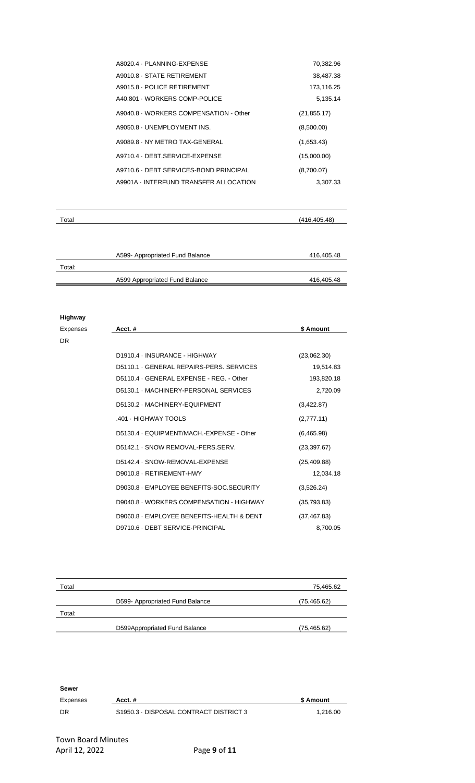| A8020.4 PLANNING-EXPENSE               | 70,382.96    |
|----------------------------------------|--------------|
| A9010.8 · STATE RETIREMENT             | 38,487.38    |
| A9015.8 - POLICE RETIREMENT            | 173,116.25   |
| A40.801 - WORKERS COMP-POLICE          | 5,135.14     |
| A9040.8 · WORKERS COMPENSATION - Other | (21, 855.17) |
| A9050.8 UNEMPLOYMENT INS.              | (8,500.00)   |
| A9089.8 NY METRO TAX-GENERAL           | (1,653.43)   |
| A9710.4 DEBT SERVICE-EXPENSE           | (15,000.00)  |
| A9710.6 · DEBT SERVICES-BOND PRINCIPAL | (8,700.07)   |
| A9901A INTERFUND TRANSFER ALLOCATION   | 3,307.33     |

| Total  |                                 | (416, 405.48) |
|--------|---------------------------------|---------------|
|        |                                 |               |
|        | A599- Appropriated Fund Balance | 416,405.48    |
| Total: |                                 |               |
|        | A599 Appropriated Fund Balance  | 416,405.48    |

#### **Highway**

| Expenses  | Acct.#                                    | \$ Amount    |
|-----------|-------------------------------------------|--------------|
| <b>DR</b> |                                           |              |
|           | D1910.4 - INSURANCE - HIGHWAY             | (23,062.30)  |
|           | D5110.1 GENERAL REPAIRS-PERS, SERVICES    | 19,514.83    |
|           | D5110.4 GENERAL EXPENSE - REG. - Other    | 193,820.18   |
|           | D5130.1 MACHINERY-PERSONAL SERVICES       | 2,720.09     |
|           | D5130.2 · MACHINERY-EQUIPMENT             | (3,422.87)   |
|           | .401 - HIGHWAY TOOLS                      | (2,777.11)   |
|           | D5130.4 · EQUIPMENT/MACH.-EXPENSE - Other | (6,465.98)   |
|           | D5142.1 · SNOW REMOVAL-PERS.SERV.         | (23, 397.67) |
|           | D5142.4 · SNOW-REMOVAL-EXPENSE            | (25, 409.88) |
|           | D9010.8 - RETIREMENT-HWY                  | 12,034.18    |
|           | D9030.8 · EMPLOYEE BENEFITS-SOC.SECURITY  | (3,526.24)   |
|           | D9040.8 · WORKERS COMPENSATION - HIGHWAY  | (35, 793.83) |
|           | D9060.8 · EMPLOYEE BENEFITS-HEALTH & DENT | (37, 467.83) |
|           | D9710.6 · DEBT SERVICE-PRINCIPAL          | 8,700.05     |

| Total  |                                 | 75,465.62    |
|--------|---------------------------------|--------------|
|        | D599- Appropriated Fund Balance | (75, 465.62) |
| Total: |                                 |              |
|        | D599Appropriated Fund Balance   | (75, 465.62) |

**Sewer** Expenses Acct. # **Acct. # Acct. # \$ Amount \$ Amount** DR S1950.3 · DISPOSAL CONTRACT DISTRICT 3 1,216.00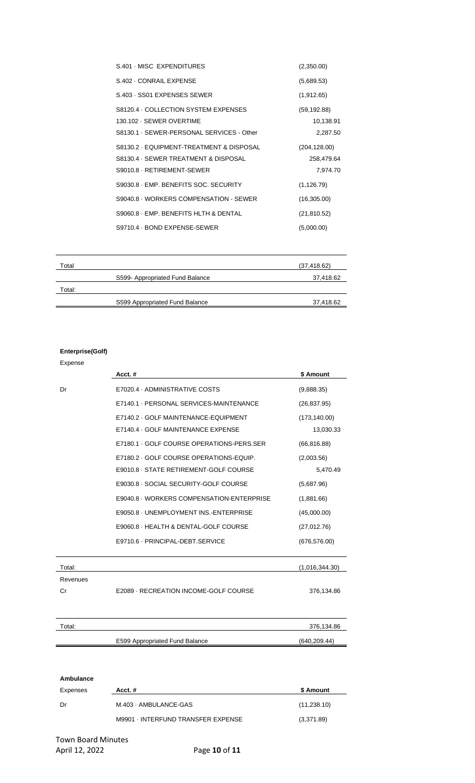| S.401 MISC EXPENDITURES                   | (2,350.00)    |
|-------------------------------------------|---------------|
| S.402 CONRAIL EXPENSE                     | (5,689.53)    |
| S.403 SS01 EXPENSES SEWER                 | (1,912.65)    |
| S8120.4 GOLLECTION SYSTEM EXPENSES        | (59, 192.88)  |
| 130.102 · SEWER OVERTIME                  | 10,138.91     |
| S8130.1 · SEWER-PERSONAL SERVICES - Other | 2,287.50      |
| S8130.2 · EQUIPMENT-TREATMENT & DISPOSAL  | (204, 128.00) |
| S8130.4 · SEWER TREATMENT & DISPOSAL      | 258,479.64    |
| S9010.8 - RETIREMENT-SEWER                | 7,974.70      |
| S9030.8 · EMP. BENEFITS SOC. SECURITY     | (1, 126.79)   |
| S9040.8 · WORKERS COMPENSATION - SEWER    | (16,305.00)   |
| S9060.8 · EMP. BENEFITS HLTH & DENTAL     | (21, 810.52)  |
| S9710.4 · BOND EXPENSE-SEWER              | (5,000.00)    |

| Total  |                                | (37, 418.62) |
|--------|--------------------------------|--------------|
|        | S599-Appropriated Fund Balance | 37,418.62    |
| Total: |                                |              |
|        | S599 Appropriated Fund Balance | 37,418.62    |

#### **Enterprise(Golf)**

#### Expense

|          | Acct.#                                    | \$ Amount      |
|----------|-------------------------------------------|----------------|
| Dr       | E7020.4 ADMINISTRATIVE COSTS              | (9,888.35)     |
|          | E7140.1 - PERSONAL SERVICES-MAINTENANCE   | (26, 837.95)   |
|          | E7140.2 GOLF MAINTENANCE-EQUIPMENT        | (173, 140.00)  |
|          | E7140.4 GOLF MAINTENANCE EXPENSE          | 13,030.33      |
|          | E7180.1 GOLF COURSE OPERATIONS-PERS.SER   | (66, 816.88)   |
|          | E7180.2 GOLF COURSE OPERATIONS-EQUIP.     | (2,003.56)     |
|          | E9010.8 · STATE RETIREMENT-GOLF COURSE    | 5,470.49       |
|          | E9030.8 - SOCIAL SECURITY-GOLF COURSE     | (5,687.96)     |
|          | E9040.8 · WORKERS COMPENSATION-ENTERPRISE | (1,881.66)     |
|          | E9050.8 · UNEMPLOYMENT INS. ENTERPRISE    | (45,000.00)    |
|          | E9060.8 · HEALTH & DENTAL-GOLF COURSE     | (27,012.76)    |
|          | E9710.6 - PRINCIPAL-DEBT.SERVICE          | (676, 576.00)  |
| Total:   |                                           | (1,016,344.30) |
| Revenues |                                           |                |
| Cr       | E2089 - RECREATION INCOME-GOLF COURSE     | 376,134.86     |
| Total:   |                                           | 376,134.86     |
|          | E599 Appropriated Fund Balance            | (640, 209.44)  |

| Ambulance |                                    |              |
|-----------|------------------------------------|--------------|
| Expenses  | Acct. $#$                          | \$ Amount    |
| Dr        | M.403 - AMBULANCE-GAS              | (11, 238.10) |
|           | M9901 - INTERFUND TRANSFER EXPENSE | (3,371.89)   |